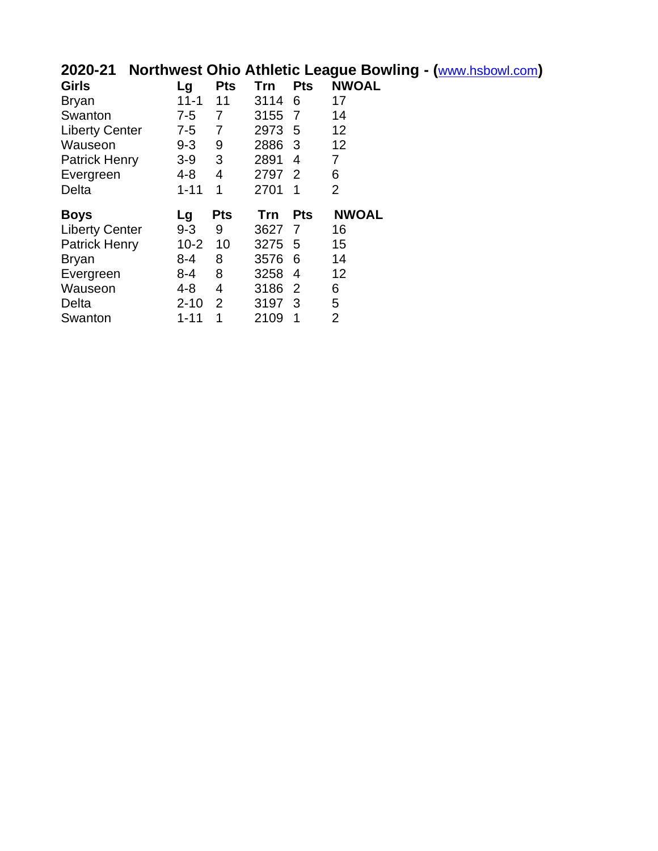# **2020-21 Northwest Ohio Athletic League Bowling - (**www.hsbowl.com**)**

| <b>Girls</b>          | Lg       | <b>Pts</b>     | Trn        | <b>Pts</b>     | <b>NWOAL</b>   |
|-----------------------|----------|----------------|------------|----------------|----------------|
| <b>Bryan</b>          | $11 - 1$ | 11             | 3114       | 6              | 17             |
| Swanton               | $7 - 5$  | 7              | 3155       | 7              | 14             |
| <b>Liberty Center</b> | $7 - 5$  | 7              | 2973       | 5              | 12             |
| Wauseon               | $9 - 3$  | 9              | 2886       | -3             | 12             |
| <b>Patrick Henry</b>  | $3-9$    | 3              | 2891       | 4              | 7              |
| Evergreen             | 4-8      | 4              | 2797       | $\overline{2}$ | 6              |
| Delta                 | $1 - 11$ | 1              | 2701       | 1              | $\overline{2}$ |
|                       |          |                |            |                |                |
| <b>Boys</b>           | Lg       | Pts            | <b>Trn</b> | <b>Pts</b>     | <b>NWOAL</b>   |
| <b>Liberty Center</b> | $9 - 3$  | 9              | 3627       | 7              | 16             |
| <b>Patrick Henry</b>  | $10 - 2$ | 10             | 3275       | 5              | 15             |
| <b>Bryan</b>          | $8 - 4$  | 8              | 3576       | 6              | 14             |
| Evergreen             | 8-4      | 8              | 3258       | 4              | 12             |
| Wauseon               | 4-8      | 4              | 3186       | 2              | 6              |
| Delta                 | $2 - 10$ | $\overline{2}$ | 3197       | - 3            | 5              |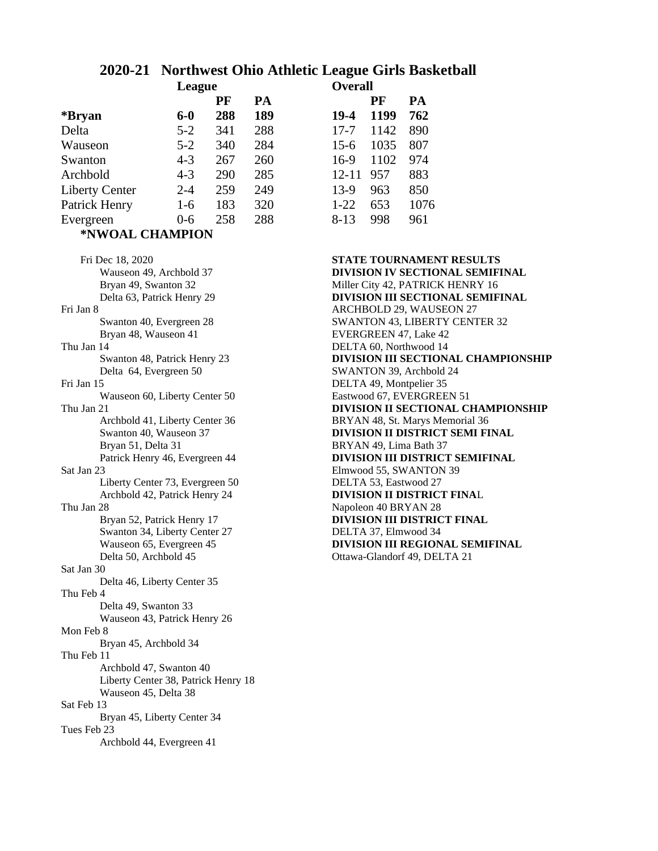# **2020-21 Northwest Ohio Athletic League Girls Basketball**

|                       | League  |     |     | <b>Overall</b> |      |      |
|-----------------------|---------|-----|-----|----------------|------|------|
|                       |         | PF  | PA  |                | PF   | PA   |
| *Bryan                | $6-0$   | 288 | 189 | 19-4           | 1199 | 762  |
| Delta                 | $5 - 2$ | 341 | 288 | $17 - 7$       | 1142 | 890  |
| Wauseon               | $5 - 2$ | 340 | 284 | $15-6$         | 1035 | 807  |
| Swanton               | $4 - 3$ | 267 | 260 | 16-9           | 1102 | 974  |
| Archbold              | $4 - 3$ | 290 | 285 | $12 - 11$      | 957  | 883  |
| <b>Liberty Center</b> | $2 - 4$ | 259 | 249 | $13-9$         | 963  | 850  |
| Patrick Henry         | $1-6$   | 183 | 320 | $1-22$         | 653  | 1076 |
| Evergreen             | $0-6$   | 258 | 288 | $8-13$         | 998  | 961  |
| *NWOAL CHAMPION       |         |     |     |                |      |      |

Fri Dec 18, 2020 **STATE TOURNAMENT RESULTS** Wauseon 49, Archbold 37 **DIVISION IV SECTIONAL SEMIFINAL** Fri Jan 8 ARCHBOLD 29, WAUSEON 27 Bryan 48, Wauseon 41 EVERGREEN 47, Lake 42 Thu Jan 14 DELTA 60, Northwood 14 Delta 64, Evergreen 50 SWANTON 39, Archbold 24 Fri Jan 15<br>Wauseon 60, Liberty Center 50<br>Eastwood 67, EVERGREEN 51 Wauseon 60, Liberty Center 50 Bryan 51, Delta 31 BRYAN 49, Lima Bath 37 Sat Jan 23 Elmwood 55, SWANTON 39 Liberty Center 73, Evergreen 50 DELTA 53, Eastwood 27 Thu Jan 28 Napoleon 40 BRYAN 28 Swanton 34, Liberty Center 27 DELTA 37, Elmwood 34<br>Wauseon 65, Evergreen 45 DIVISION III REGION Delta 50, Archbold 45 Ottawa-Glandorf 49, DELTA 21 Sat Jan 30 Delta 46, Liberty Center 35 Thu Feb 4 Delta 49, Swanton 33 Wauseon 43, Patrick Henry 26 Mon Feb 8 Bryan 45, Archbold 34 Thu Feb 11 Archbold 47, Swanton 40 Liberty Center 38, Patrick Henry 18 Wauseon 45, Delta 38 Sat Feb 13 Bryan 45, Liberty Center 34 Tues Feb 23 Archbold 44, Evergreen 41

|     |     | Отстан    |      |      |  |  |
|-----|-----|-----------|------|------|--|--|
| PF  | PA  |           | PF   | PA   |  |  |
| 288 | 189 | $19-4$    | 1199 | 762  |  |  |
| 341 | 288 | $17 - 7$  | 1142 | 890  |  |  |
| 340 | 284 | $15-6$    | 1035 | 807  |  |  |
| 267 | 260 | $16-9$    | 1102 | 974  |  |  |
| 290 | 285 | $12 - 11$ | 957  | 883  |  |  |
| 259 | 249 | $13-9$    | 963  | 850  |  |  |
| 183 | 320 | $1 - 22$  | 653  | 1076 |  |  |
| 258 | 288 | $8 - 13$  | 998  | 961  |  |  |
|     |     |           |      |      |  |  |

Bryan 49, Swanton 32 Miller City 42, PATRICK HENRY 16 Delta 63, Patrick Henry 29 **DIVISION III SECTIONAL SEMIFINAL** Swanton 40, Evergreen 28 SWANTON 43, LIBERTY CENTER 32 Swanton 48, Patrick Henry 23 **DIVISION III SECTIONAL CHAMPIONSHIP** Thu Jan 21 **DIVISION II SECTIONAL CHAMPIONSHIP** Archbold 41, Liberty Center 36 BRYAN 48, St. Marys Memorial 36<br>Swanton 40, Wauseon 37 **DIVISION II DISTRICT SEMIFI DIVISION II DISTRICT SEMI FINAL** Patrick Henry 46, Evergreen 44 **DIVISION III DISTRICT SEMIFINAL** Archbold 42, Patrick Henry 24 **DIVISION II DISTRICT FINA**L Bryan 52, Patrick Henry 17 **DIVISION III DISTRICT FINAL DIVISION III REGIONAL SEMIFINAL**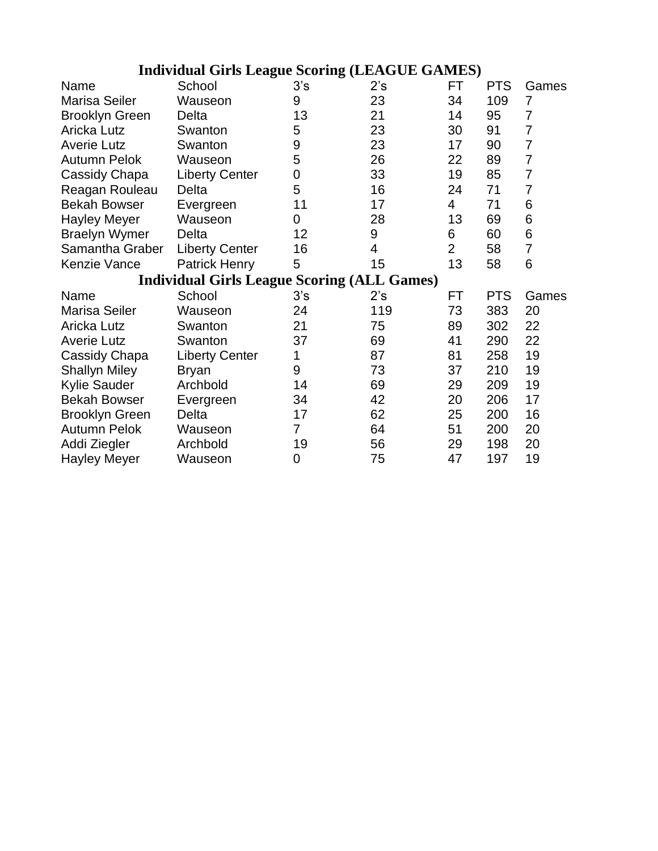| <b>Individual Girls League Scoring (LEAGUE GAMES)</b> |                                                    |     |     |                |            |                |  |  |
|-------------------------------------------------------|----------------------------------------------------|-----|-----|----------------|------------|----------------|--|--|
| Name                                                  | School                                             | 3's | 2's | FT             | <b>PTS</b> | Games          |  |  |
| <b>Marisa Seiler</b>                                  | Wauseon                                            | 9   | 23  | 34             | 109        | $\overline{7}$ |  |  |
| <b>Brooklyn Green</b>                                 | Delta                                              | 13  | 21  | 14             | 95         | $\overline{7}$ |  |  |
| <b>Aricka Lutz</b>                                    | Swanton                                            | 5   | 23  | 30             | 91         | $\overline{7}$ |  |  |
| <b>Averie Lutz</b>                                    | Swanton                                            | 9   | 23  | 17             | 90         | 7              |  |  |
| <b>Autumn Pelok</b>                                   | Wauseon                                            | 5   | 26  | 22             | 89         | $\overline{7}$ |  |  |
| Cassidy Chapa                                         | <b>Liberty Center</b>                              | 0   | 33  | 19             | 85         | $\overline{7}$ |  |  |
| Reagan Rouleau                                        | Delta                                              | 5   | 16  | 24             | 71         | $\overline{7}$ |  |  |
| <b>Bekah Bowser</b>                                   | Evergreen                                          | 11  | 17  | 4              | 71         | 6              |  |  |
| <b>Hayley Meyer</b>                                   | Wauseon                                            | 0   | 28  | 13             | 69         | 6              |  |  |
| <b>Braelyn Wymer</b>                                  | Delta                                              | 12  | 9   | 6              | 60         | 6              |  |  |
| Samantha Graber                                       | <b>Liberty Center</b>                              | 16  | 4   | $\overline{2}$ | 58         | $\overline{7}$ |  |  |
| Kenzie Vance                                          | <b>Patrick Henry</b>                               | 5   | 15  | 13             | 58         | 6              |  |  |
|                                                       | <b>Individual Girls League Scoring (ALL Games)</b> |     |     |                |            |                |  |  |
| Name                                                  | School                                             | 3's | 2's | FT             | <b>PTS</b> | Games          |  |  |
| <b>Marisa Seiler</b>                                  | Wauseon                                            | 24  | 119 | 73             | 383        | 20             |  |  |
| <b>Aricka Lutz</b>                                    | Swanton                                            | 21  | 75  | 89             | 302        | 22             |  |  |
| <b>Averie Lutz</b>                                    | Swanton                                            | 37  | 69  | 41             | 290        | 22             |  |  |
| Cassidy Chapa                                         | <b>Liberty Center</b>                              | 1   | 87  | 81             | 258        | 19             |  |  |
| <b>Shallyn Miley</b>                                  | <b>Bryan</b>                                       | 9   | 73  | 37             | 210        | 19             |  |  |
| <b>Kylie Sauder</b>                                   | Archbold                                           | 14  | 69  | 29             | 209        | 19             |  |  |
| <b>Bekah Bowser</b>                                   | Evergreen                                          | 34  | 42  | 20             | 206        | 17             |  |  |
| <b>Brooklyn Green</b>                                 | Delta                                              | 17  | 62  | 25             | 200        | 16             |  |  |
| <b>Autumn Pelok</b>                                   | Wauseon                                            | 7   | 64  | 51             | 200        | 20             |  |  |
| Addi Ziegler                                          | Archbold                                           | 19  | 56  | 29             | 198        | 20             |  |  |
| <b>Hayley Meyer</b>                                   | Wauseon                                            | 0   | 75  | 47             | 197        | 19             |  |  |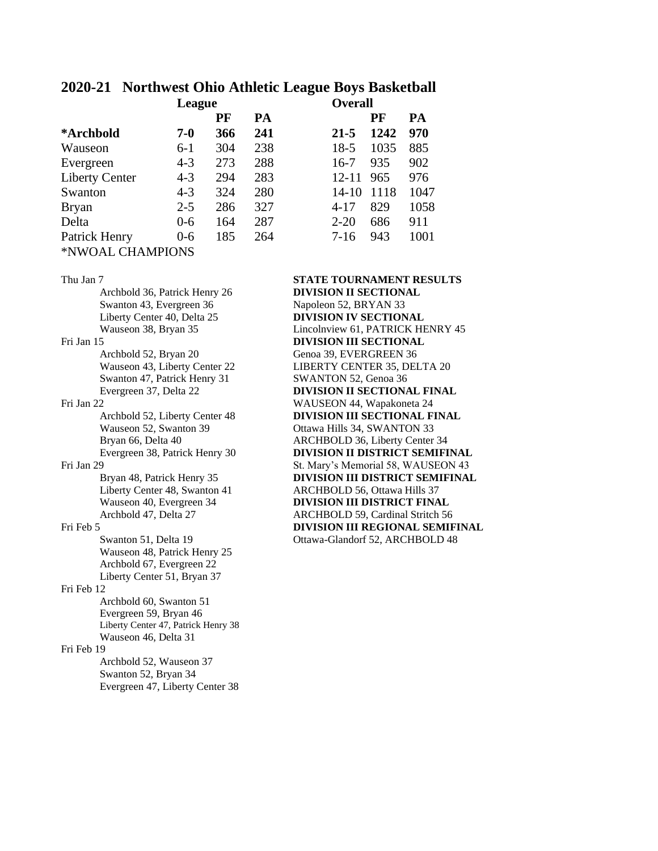## **2020-21 Northwest Ohio Athletic League Boys Basketball**

|                       | League  |     |     | <b>Overall</b> |      |      |
|-----------------------|---------|-----|-----|----------------|------|------|
|                       |         | PF  | PA  |                | PF   | PA   |
| *Archbold             | $7 - 0$ | 366 | 241 | $21 - 5$       | 1242 | 970  |
| Wauseon               | $6-1$   | 304 | 238 | $18-5$         | 1035 | 885  |
| Evergreen             | $4 - 3$ | 273 | 288 | $16-7$         | 935  | 902  |
| <b>Liberty Center</b> | $4 - 3$ | 294 | 283 | $12 - 11$      | 965  | 976  |
| Swanton               | $4 - 3$ | 324 | 280 | $14-10$        | 1118 | 1047 |
| <b>Bryan</b>          | $2 - 5$ | 286 | 327 | $4 - 17$       | 829  | 1058 |
| Delta                 | $0 - 6$ | 164 | 287 | $2 - 20$       | 686  | 911  |
| Patrick Henry         | $0-6$   | 185 | 264 | $7-16$         | 943  | 1001 |
| *NWOAL CHAMPIONS      |         |     |     |                |      |      |

### Archbold 36, Patrick Henry 26 **DIVISION II SECTIONAL** Swanton 43, Evergreen 36 Napoleon 52, BRYAN 33 Liberty Center 40, Delta 25 **DIVISION IV SECTIONAL** Wauseon 38, Bryan 35 Lincolnview 61, PATRICK HENRY 45 Fri Jan 15 **DIVISION III SECTIONAL** Archbold 52, Bryan 20 Genoa 39, EVERGREEN 36 Wauseon 43, Liberty Center 22 LIBERTY CENTER 35, DELTA 20 Swanton 47, Patrick Henry 31 SWANTON 52, Genoa 36 Evergreen 37, Delta 22 **DIVISION II SECTIONAL FINAL**<br>Fri Jan 22 **WAUSEON 44, Wapakoneta 24** Archbold 52, Liberty Center 48 **DIVISION III SECTIONAL FINAL** Wauseon 52, Swanton 39 Ottawa Hills 34, SWANTON 33 Bryan 66, Delta 40 ARCHBOLD 36, Liberty Center 34 Evergreen 38, Patrick Henry 30 **DIVISION II DISTRICT SEMIFINAL** Fri Jan 29 St. Mary's Memorial 58, WAUSEON 43 Bryan 48, Patrick Henry 35 **DIVISION III DISTRICT SEMIFINAL** Liberty Center 48, Swanton 41 ARCHBOLD 56, Ottawa Hills 37 Wauseon 40, Evergreen 34 **DIVISION III DISTRICT FINAL**<br>Archbold 47, Delta 27 **ARCHBOLD 59, Cardinal Stritch 56** Fri Feb 5 **DIVISION III REGIONAL SEMIFINAL** Swanton 51, Delta 19 Ottawa-Glandorf 52, ARCHBOLD 48 Wauseon 48, Patrick Henry 25 Archbold 67, Evergreen 22 Liberty Center 51, Bryan 37 Fri Feb 12 Archbold 60, Swanton 51 Evergreen 59, Bryan 46 Liberty Center 47, Patrick Henry 38 Wauseon 46, Delta 31 Fri Feb 19 Archbold 52, Wauseon 37 Swanton 52, Bryan 34 Evergreen 47, Liberty Center 38

### Thu Jan 7 **STATE TOURNAMENT RESULTS**

WAUSEON 44, Wapakoneta 24 ARCHBOLD 59, Cardinal Stritch 56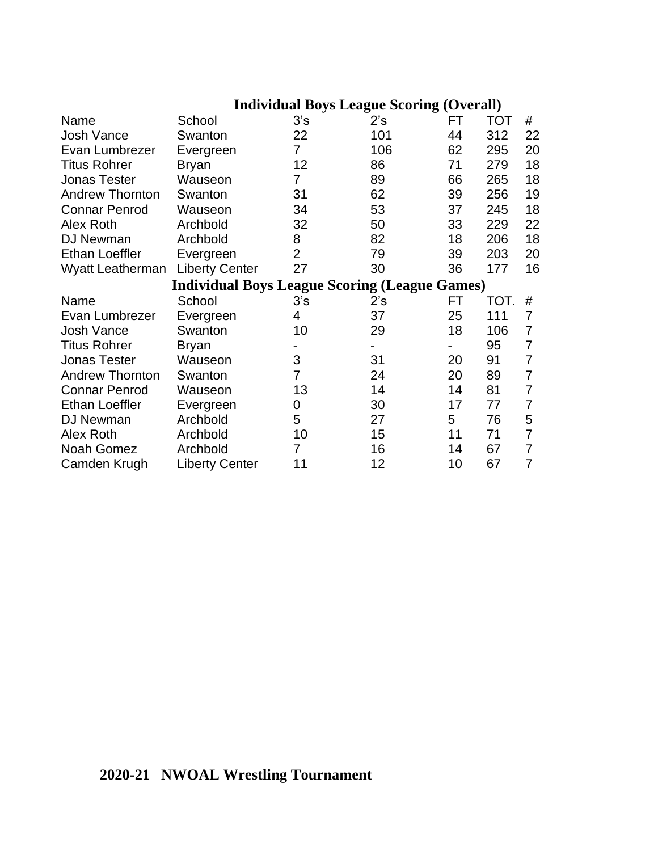| <b>Individual Boys League Scoring (Overall)</b> |                                                      |                |     |    |            |                |  |
|-------------------------------------------------|------------------------------------------------------|----------------|-----|----|------------|----------------|--|
| Name                                            | School                                               | 3's            | 2's | FT | <b>TOT</b> | #              |  |
| Josh Vance                                      | Swanton                                              | 22             | 101 | 44 | 312        | 22             |  |
| Evan Lumbrezer                                  | Evergreen                                            | $\overline{7}$ | 106 | 62 | 295        | 20             |  |
| <b>Titus Rohrer</b>                             | <b>Bryan</b>                                         | 12             | 86  | 71 | 279        | 18             |  |
| <b>Jonas Tester</b>                             | Wauseon                                              | 7              | 89  | 66 | 265        | 18             |  |
| <b>Andrew Thornton</b>                          | Swanton                                              | 31             | 62  | 39 | 256        | 19             |  |
| <b>Connar Penrod</b>                            | Wauseon                                              | 34             | 53  | 37 | 245        | 18             |  |
| Alex Roth                                       | Archbold                                             | 32             | 50  | 33 | 229        | 22             |  |
| DJ Newman                                       | Archbold                                             | 8              | 82  | 18 | 206        | 18             |  |
| <b>Ethan Loeffler</b>                           | Evergreen                                            | $\overline{2}$ | 79  | 39 | 203        | 20             |  |
| Wyatt Leatherman                                | <b>Liberty Center</b>                                | 27             | 30  | 36 | 177        | 16             |  |
|                                                 | <b>Individual Boys League Scoring (League Games)</b> |                |     |    |            |                |  |
| Name                                            | School                                               | 3's            | 2's | FT | TOT.       | #              |  |
| Evan Lumbrezer                                  | Evergreen                                            | 4              | 37  | 25 | 111        | 7              |  |
| <b>Josh Vance</b>                               | Swanton                                              | 10             | 29  | 18 | 106        | 7              |  |
| <b>Titus Rohrer</b>                             | <b>Bryan</b>                                         |                |     |    | 95         | 7              |  |
| <b>Jonas Tester</b>                             | Wauseon                                              | 3              | 31  | 20 | 91         | $\overline{7}$ |  |
| <b>Andrew Thornton</b>                          | Swanton                                              | $\overline{7}$ | 24  | 20 | 89         | 7              |  |
| <b>Connar Penrod</b>                            | Wauseon                                              | 13             | 14  | 14 | 81         | 7              |  |
| <b>Ethan Loeffler</b>                           | Evergreen                                            | 0              | 30  | 17 | 77         | 7              |  |
| DJ Newman                                       | Archbold                                             | 5              | 27  | 5  | 76         | 5              |  |
| Alex Roth                                       | Archbold                                             | 10             | 15  | 11 | 71         | 7              |  |
| Noah Gomez                                      | Archbold                                             | 7              | 16  | 14 | 67         | 7              |  |
| Camden Krugh                                    | <b>Liberty Center</b>                                | 11             | 12  | 10 | 67         | 7              |  |

# **2020-21 NWOAL Wrestling Tournament**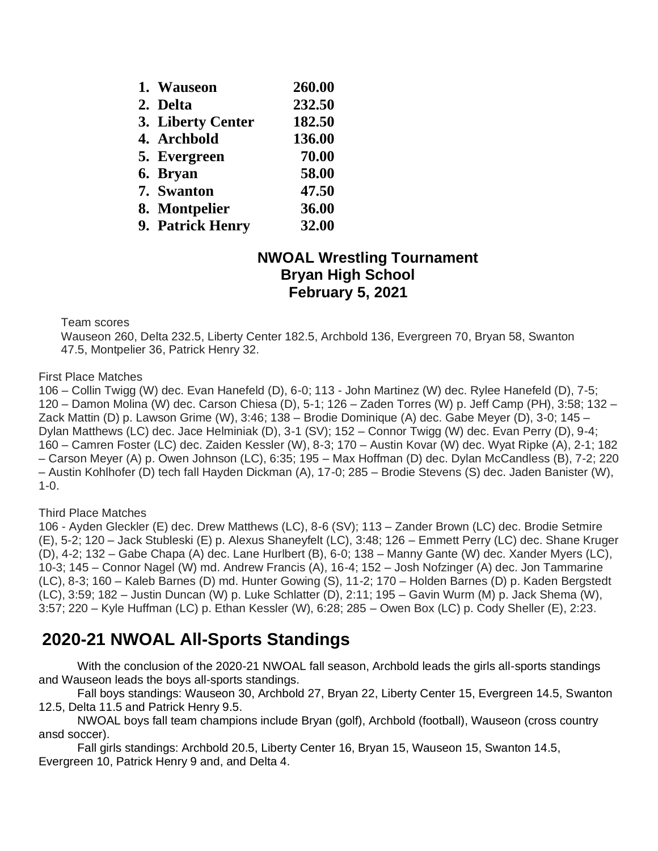| 1. Wauseon        | 260.00 |
|-------------------|--------|
| 2. Delta          | 232.50 |
| 3. Liberty Center | 182.50 |
| 4. Archbold       | 136.00 |
| 5. Evergreen      | 70.00  |
| 6. Bryan          | 58.00  |
| 7. Swanton        | 47.50  |
| 8. Montpelier     | 36.00  |
| 9. Patrick Henry  | 32.00  |

## **NWOAL Wrestling Tournament Bryan High School February 5, 2021**

Team scores

Wauseon 260, Delta 232.5, Liberty Center 182.5, Archbold 136, Evergreen 70, Bryan 58, Swanton 47.5, Montpelier 36, Patrick Henry 32.

First Place Matches

106 – Collin Twigg (W) dec. Evan Hanefeld (D), 6-0; 113 - John Martinez (W) dec. Rylee Hanefeld (D), 7-5; 120 – Damon Molina (W) dec. Carson Chiesa (D), 5-1; 126 – Zaden Torres (W) p. Jeff Camp (PH), 3:58; 132 – Zack Mattin (D) p. Lawson Grime (W), 3:46; 138 – Brodie Dominique (A) dec. Gabe Meyer (D), 3-0; 145 – Dylan Matthews (LC) dec. Jace Helminiak (D), 3-1 (SV); 152 – Connor Twigg (W) dec. Evan Perry (D), 9-4; 160 – Camren Foster (LC) dec. Zaiden Kessler (W), 8-3; 170 – Austin Kovar (W) dec. Wyat Ripke (A), 2-1; 182 – Carson Meyer (A) p. Owen Johnson (LC), 6:35; 195 – Max Hoffman (D) dec. Dylan McCandless (B), 7-2; 220 – Austin Kohlhofer (D) tech fall Hayden Dickman (A), 17-0; 285 – Brodie Stevens (S) dec. Jaden Banister (W), 1-0.

## Third Place Matches

106 - Ayden Gleckler (E) dec. Drew Matthews (LC), 8-6 (SV); 113 – Zander Brown (LC) dec. Brodie Setmire (E), 5-2; 120 – Jack Stubleski (E) p. Alexus Shaneyfelt (LC), 3:48; 126 – Emmett Perry (LC) dec. Shane Kruger (D), 4-2; 132 – Gabe Chapa (A) dec. Lane Hurlbert (B), 6-0; 138 – Manny Gante (W) dec. Xander Myers (LC), 10-3; 145 – Connor Nagel (W) md. Andrew Francis (A), 16-4; 152 – Josh Nofzinger (A) dec. Jon Tammarine (LC), 8-3; 160 – Kaleb Barnes (D) md. Hunter Gowing (S), 11-2; 170 – Holden Barnes (D) p. Kaden Bergstedt (LC), 3:59; 182 – Justin Duncan (W) p. Luke Schlatter (D), 2:11; 195 – Gavin Wurm (M) p. Jack Shema (W), 3:57; 220 – Kyle Huffman (LC) p. Ethan Kessler (W), 6:28; 285 – Owen Box (LC) p. Cody Sheller (E), 2:23.

# **2020-21 NWOAL All-Sports Standings**

With the conclusion of the 2020-21 NWOAL fall season, Archbold leads the girls all-sports standings and Wauseon leads the boys all-sports standings.

Fall boys standings: Wauseon 30, Archbold 27, Bryan 22, Liberty Center 15, Evergreen 14.5, Swanton 12.5, Delta 11.5 and Patrick Henry 9.5.

NWOAL boys fall team champions include Bryan (golf), Archbold (football), Wauseon (cross country ansd soccer).

Fall girls standings: Archbold 20.5, Liberty Center 16, Bryan 15, Wauseon 15, Swanton 14.5, Evergreen 10, Patrick Henry 9 and, and Delta 4.